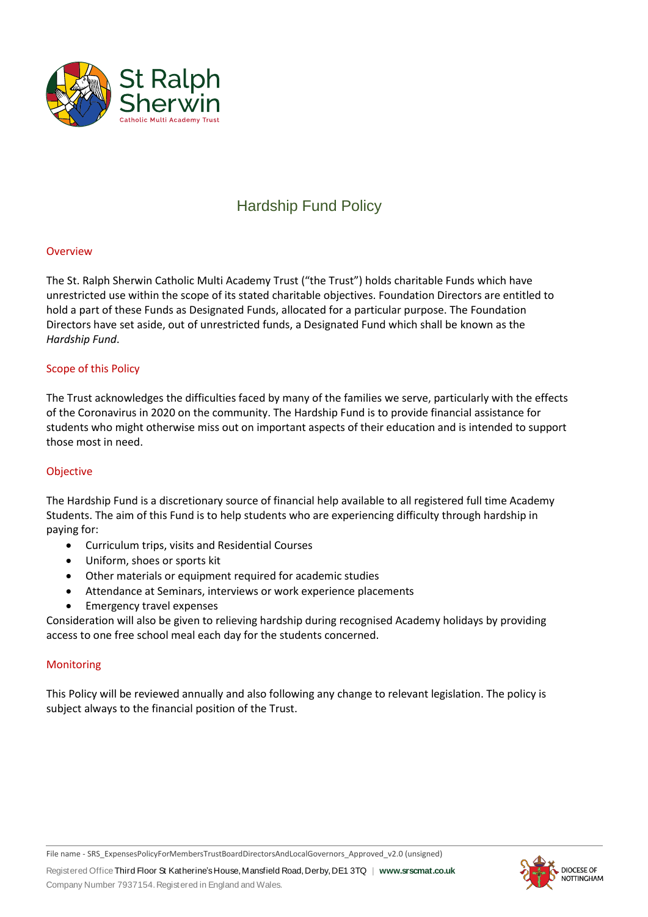

# Hardship Fund Policy

#### Overview

The St. Ralph Sherwin Catholic Multi Academy Trust ("the Trust") holds charitable Funds which have unrestricted use within the scope of its stated charitable objectives. Foundation Directors are entitled to hold a part of these Funds as Designated Funds, allocated for a particular purpose. The Foundation Directors have set aside, out of unrestricted funds, a Designated Fund which shall be known as the *Hardship Fund*.

#### Scope of this Policy

The Trust acknowledges the difficulties faced by many of the families we serve, particularly with the effects of the Coronavirus in 2020 on the community. The Hardship Fund is to provide financial assistance for students who might otherwise miss out on important aspects of their education and is intended to support those most in need.

#### Objective

The Hardship Fund is a discretionary source of financial help available to all registered full time Academy Students. The aim of this Fund is to help students who are experiencing difficulty through hardship in paying for:

- Curriculum trips, visits and Residential Courses
- Uniform, shoes or sports kit
- Other materials or equipment required for academic studies
- Attendance at Seminars, interviews or work experience placements
- Emergency travel expenses

Consideration will also be given to relieving hardship during recognised Academy holidays by providing access to one free school meal each day for the students concerned.

#### **Monitoring**

This Policy will be reviewed annually and also following any change to relevant legislation. The policy is subject always to the financial position of the Trust.

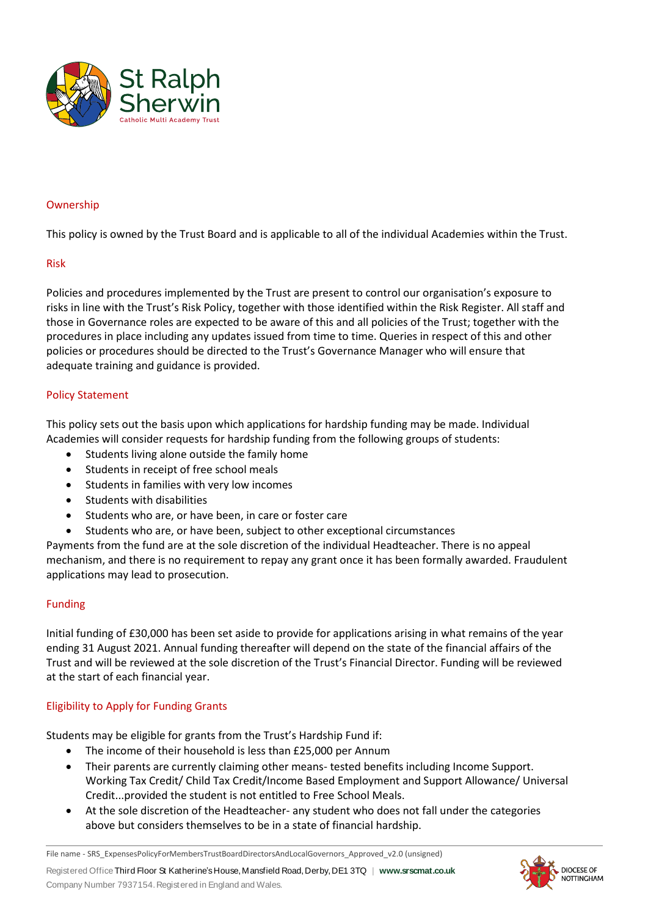

#### Ownership

This policy is owned by the Trust Board and is applicable to all of the individual Academies within the Trust.

#### Risk

Policies and procedures implemented by the Trust are present to control our organisation's exposure to risks in line with the Trust's Risk Policy, together with those identified within the Risk Register. All staff and those in Governance roles are expected to be aware of this and all policies of the Trust; together with the procedures in place including any updates issued from time to time. Queries in respect of this and other policies or procedures should be directed to the Trust's Governance Manager who will ensure that adequate training and guidance is provided.

#### Policy Statement

This policy sets out the basis upon which applications for hardship funding may be made. Individual Academies will consider requests for hardship funding from the following groups of students:

- Students living alone outside the family home
- Students in receipt of free school meals
- Students in families with very low incomes
- Students with disabilities
- Students who are, or have been, in care or foster care
- Students who are, or have been, subject to other exceptional circumstances

Payments from the fund are at the sole discretion of the individual Headteacher. There is no appeal mechanism, and there is no requirement to repay any grant once it has been formally awarded. Fraudulent applications may lead to prosecution.

#### Funding

Initial funding of £30,000 has been set aside to provide for applications arising in what remains of the year ending 31 August 2021. Annual funding thereafter will depend on the state of the financial affairs of the Trust and will be reviewed at the sole discretion of the Trust's Financial Director. Funding will be reviewed at the start of each financial year.

#### Eligibility to Apply for Funding Grants

Students may be eligible for grants from the Trust's Hardship Fund if:

- The income of their household is less than £25,000 per Annum
- Their parents are currently claiming other means- tested benefits including Income Support. Working Tax Credit/ Child Tax Credit/Income Based Employment and Support Allowance/ Universal Credit...provided the student is not entitled to Free School Meals.
- At the sole discretion of the Headteacher- any student who does not fall under the categories above but considers themselves to be in a state of financial hardship.

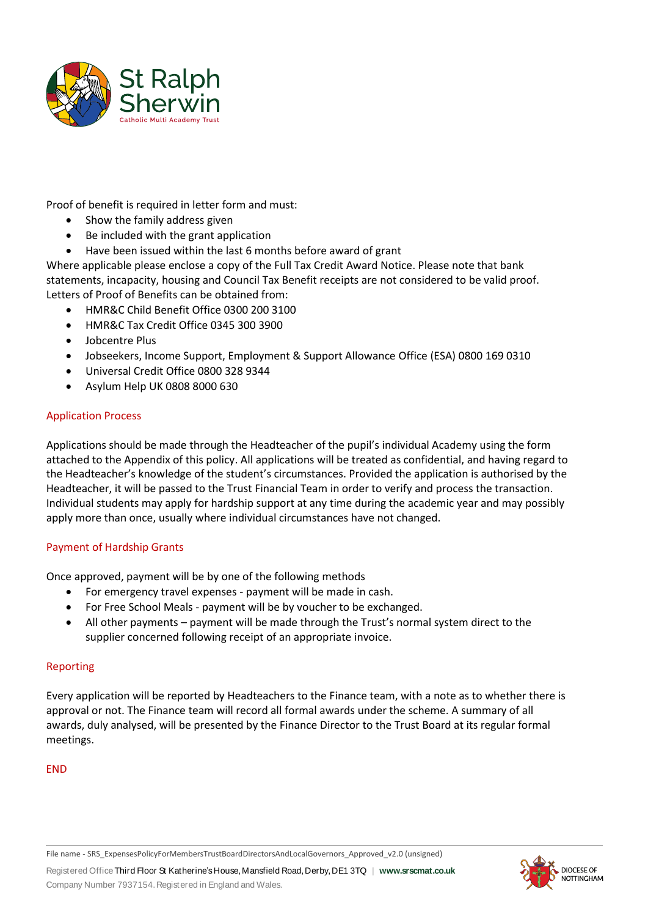

Proof of benefit is required in letter form and must:

- Show the family address given
- Be included with the grant application
- Have been issued within the last 6 months before award of grant

Where applicable please enclose a copy of the Full Tax Credit Award Notice. Please note that bank statements, incapacity, housing and Council Tax Benefit receipts are not considered to be valid proof. Letters of Proof of Benefits can be obtained from:

- HMR&C Child Benefit Office 0300 200 3100
- HMR&C Tax Credit Office 0345 300 3900
- Jobcentre Plus
- Jobseekers, Income Support, Employment & Support Allowance Office (ESA) 0800 169 0310
- Universal Credit Office 0800 328 9344
- Asylum Help UK 0808 8000 630

#### Application Process

Applications should be made through the Headteacher of the pupil's individual Academy using the form attached to the Appendix of this policy. All applications will be treated as confidential, and having regard to the Headteacher's knowledge of the student's circumstances. Provided the application is authorised by the Headteacher, it will be passed to the Trust Financial Team in order to verify and process the transaction. Individual students may apply for hardship support at any time during the academic year and may possibly apply more than once, usually where individual circumstances have not changed.

#### Payment of Hardship Grants

Once approved, payment will be by one of the following methods

- For emergency travel expenses payment will be made in cash.
- For Free School Meals payment will be by voucher to be exchanged.
- All other payments payment will be made through the Trust's normal system direct to the supplier concerned following receipt of an appropriate invoice.

#### Reporting

Every application will be reported by Headteachers to the Finance team, with a note as to whether there is approval or not. The Finance team will record all formal awards under the scheme. A summary of all awards, duly analysed, will be presented by the Finance Director to the Trust Board at its regular formal meetings.

END



File name - SRS\_ExpensesPolicyForMembersTrustBoardDirectorsAndLocalGovernors\_Approved\_v2.0 (unsigned)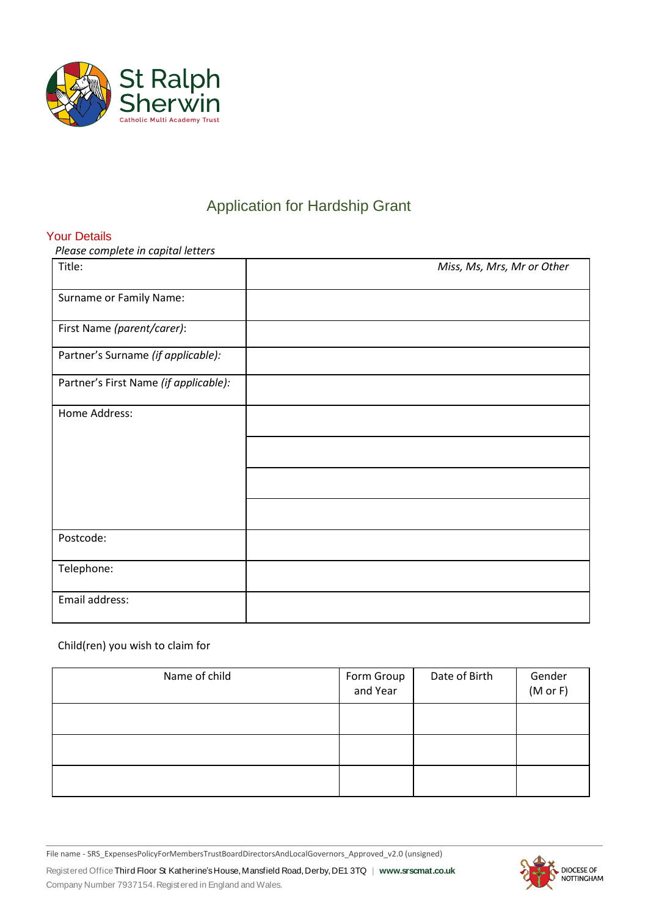

# Application for Hardship Grant

### Your Details

*Please complete in capital letters*

| Title:                                | Miss, Ms, Mrs, Mr or Other |
|---------------------------------------|----------------------------|
| Surname or Family Name:               |                            |
| First Name (parent/carer):            |                            |
| Partner's Surname (if applicable):    |                            |
| Partner's First Name (if applicable): |                            |
| Home Address:                         |                            |
|                                       |                            |
|                                       |                            |
|                                       |                            |
| Postcode:                             |                            |
| Telephone:                            |                            |
| Email address:                        |                            |

## Child(ren) you wish to claim for

| Name of child | Form Group<br>and Year | Date of Birth | Gender<br>(M or F) |
|---------------|------------------------|---------------|--------------------|
|               |                        |               |                    |
|               |                        |               |                    |
|               |                        |               |                    |

File name - SRS\_ExpensesPolicyForMembersTrustBoardDirectorsAndLocalGovernors\_Approved\_v2.0 (unsigned)

Registered Office Third Floor St Katherine'sHouse,Mansfield Road,Derby,DE1 3TQ | **www.srscmat.co.uk** Company Number 7937154.Registered in England and Wales.

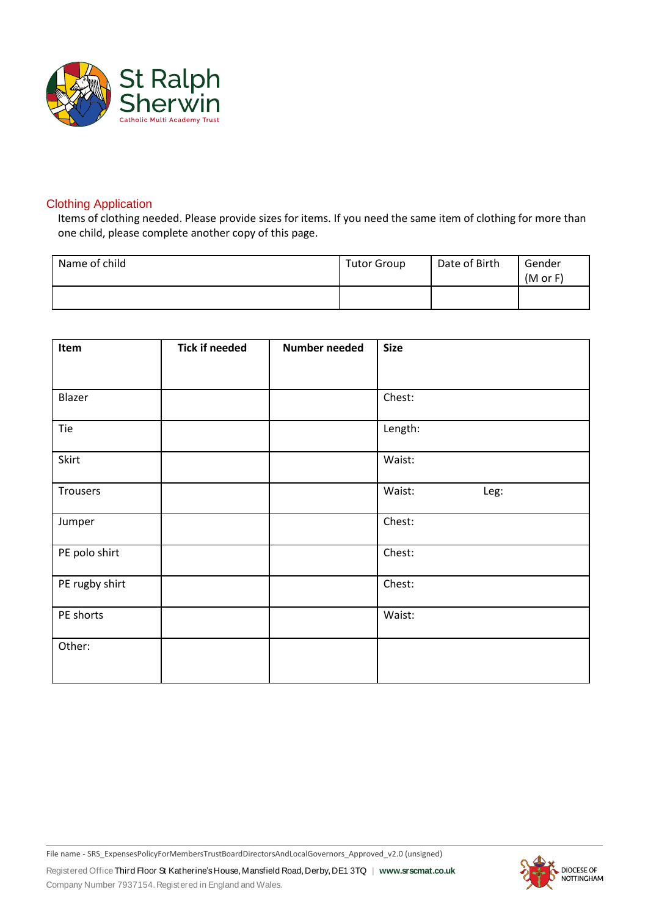

### Clothing Application

Items of clothing needed. Please provide sizes for items. If you need the same item of clothing for more than one child, please complete another copy of this page.

| Name of child | <b>Tutor Group</b> | Date of Birth | Gender<br>(M or F) |
|---------------|--------------------|---------------|--------------------|
|               |                    |               |                    |

| Item           | <b>Tick if needed</b> | <b>Number needed</b> | <b>Size</b>    |
|----------------|-----------------------|----------------------|----------------|
|                |                       |                      |                |
| Blazer         |                       |                      | Chest:         |
| Tie            |                       |                      | Length:        |
| Skirt          |                       |                      | Waist:         |
| Trousers       |                       |                      | Waist:<br>Leg: |
| Jumper         |                       |                      | Chest:         |
| PE polo shirt  |                       |                      | Chest:         |
| PE rugby shirt |                       |                      | Chest:         |
| PE shorts      |                       |                      | Waist:         |
| Other:         |                       |                      |                |

File name - SRS\_ExpensesPolicyForMembersTrustBoardDirectorsAndLocalGovernors\_Approved\_v2.0 (unsigned)

Registered Office Third Floor St Katherine'sHouse,Mansfield Road,Derby,DE1 3TQ | **www.srscmat.co.uk** Company Number 7937154.Registered in England and Wales.

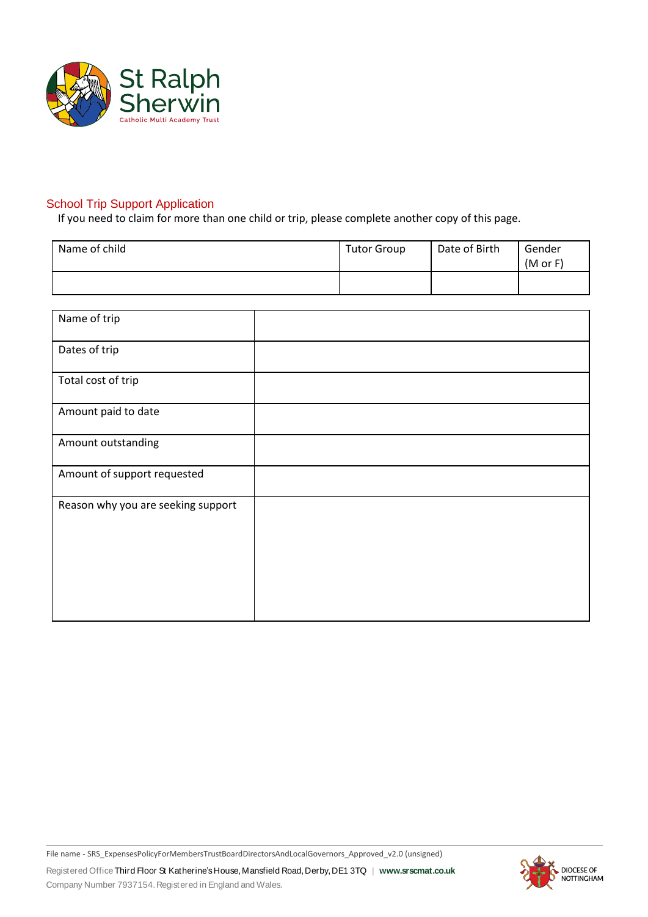

## **School Trip Support Application**

If you need to claim for more than one child or trip, please complete another copy of this page.

| Name of child | <b>Tutor Group</b> | Date of Birth | Gender<br>(M or F) |
|---------------|--------------------|---------------|--------------------|
|               |                    |               |                    |

| Name of trip                       |  |
|------------------------------------|--|
| Dates of trip                      |  |
| Total cost of trip                 |  |
| Amount paid to date                |  |
| Amount outstanding                 |  |
| Amount of support requested        |  |
| Reason why you are seeking support |  |

Registered Office Third Floor St Katherine'sHouse,Mansfield Road,Derby,DE1 3TQ | **www.srscmat.co.uk** Company Number 7937154.Registered in England and Wales. File name - SRS\_ExpensesPolicyForMembersTrustBoardDirectorsAndLocalGovernors\_Approved\_v2.0 (unsigned)

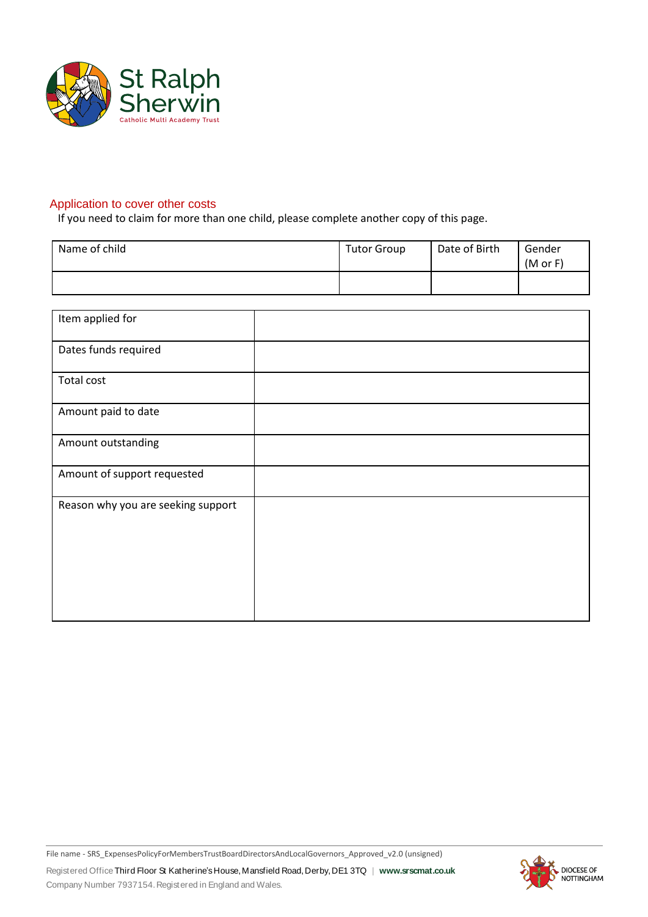

## Application to cover other costs

If you need to claim for more than one child, please complete another copy of this page.

| Name of child | <b>Tutor Group</b> | Date of Birth | Gender<br>(M or F) |
|---------------|--------------------|---------------|--------------------|
|               |                    |               |                    |

| Item applied for                   |  |
|------------------------------------|--|
| Dates funds required               |  |
| Total cost                         |  |
| Amount paid to date                |  |
| Amount outstanding                 |  |
| Amount of support requested        |  |
| Reason why you are seeking support |  |
|                                    |  |

Registered Office Third Floor St Katherine'sHouse,Mansfield Road,Derby,DE1 3TQ | **www.srscmat.co.uk** Company Number 7937154.Registered in England and Wales. File name - SRS\_ExpensesPolicyForMembersTrustBoardDirectorsAndLocalGovernors\_Approved\_v2.0 (unsigned)